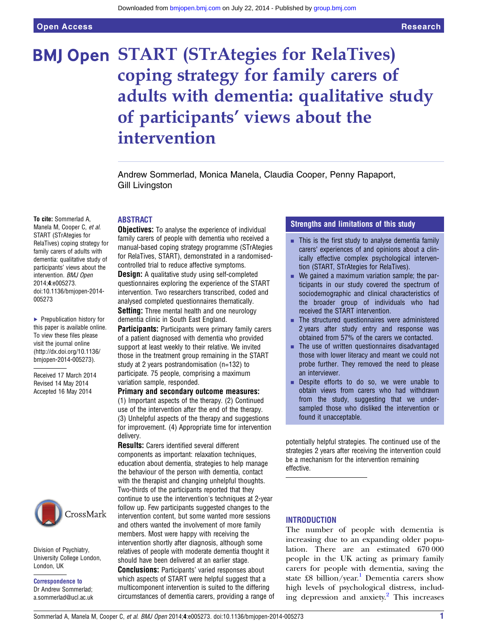# **BMJ Open START (STrAtegies for RelaTives)** coping strategy for family carers of adults with dementia: qualitative study of participants' views about the intervention

Andrew Sommerlad, Monica Manela, Claudia Cooper, Penny Rapaport, Gill Livingston

# ABSTRACT

To cite: Sommerlad A, Manela M, Cooper C, et al. START (STrAtegies for RelaTives) coping strategy for family carers of adults with dementia: qualitative study of participants' views about the intervention. BMJ Open 2014;4:e005273. doi:10.1136/bmjopen-2014- 005273

▶ Prepublication history for this paper is available online. To view these files please visit the journal online [\(http://dx.doi.org/10.1136/](http://dx.doi.org/10.1136/bmjopen-2014-005273) [bmjopen-2014-005273](http://dx.doi.org/10.1136/bmjopen-2014-005273)).

Received 17 March 2014 Revised 14 May 2014 Accepted 16 May 2014



Division of Psychiatry, University College London, London, UK

Correspondence to Dr Andrew Sommerlad; a.sommerlad@ucl.ac.uk

**Objectives:** To analyse the experience of individual family carers of people with dementia who received a manual-based coping strategy programme (STrAtegies for RelaTives, START), demonstrated in a randomisedcontrolled trial to reduce affective symptoms.

**Design:** A qualitative study using self-completed questionnaires exploring the experience of the START intervention. Two researchers transcribed, coded and analysed completed questionnaires thematically.

**Setting:** Three mental health and one neurology dementia clinic in South East England.

**Participants:** Participants were primary family carers of a patient diagnosed with dementia who provided support at least weekly to their relative. We invited those in the treatment group remaining in the START study at 2 years postrandomisation (n=132) to participate. 75 people, comprising a maximum variation sample, responded.

# Primary and secondary outcome measures:

(1) Important aspects of the therapy. (2) Continued use of the intervention after the end of the therapy. (3) Unhelpful aspects of the therapy and suggestions for improvement. (4) Appropriate time for intervention delivery.

Results: Carers identified several different components as important: relaxation techniques, education about dementia, strategies to help manage the behaviour of the person with dementia, contact with the therapist and changing unhelpful thoughts. Two-thirds of the participants reported that they continue to use the intervention's techniques at 2-year follow up. Few participants suggested changes to the intervention content, but some wanted more sessions and others wanted the involvement of more family members. Most were happy with receiving the intervention shortly after diagnosis, although some relatives of people with moderate dementia thought it should have been delivered at an earlier stage. **Conclusions:** Participants' varied responses about

which aspects of START were helpful suggest that a multicomponent intervention is suited to the differing circumstances of dementia carers, providing a range of

# Strengths and limitations of this study

- $\blacksquare$  This is the first study to analyse dementia family carers' experiences of and opinions about a clinically effective complex psychological intervention (START, STrAtegies for RelaTives).
- $\blacksquare$  We gained a maximum variation sample; the participants in our study covered the spectrum of sociodemographic and clinical characteristics of the broader group of individuals who had received the START intervention.
- The structured questionnaires were administered 2 years after study entry and response was obtained from 57% of the carers we contacted.
- $\blacksquare$  The use of written questionnaires disadvantaged those with lower literacy and meant we could not probe further. They removed the need to please an interviewer.
- **EXECUTE:** Despite efforts to do so, we were unable to obtain views from carers who had withdrawn from the study, suggesting that we undersampled those who disliked the intervention or found it unacceptable.

potentially helpful strategies. The continued use of the strategies 2 years after receiving the intervention could be a mechanism for the intervention remaining effective.

# INTRODUCTION

The number of people with dementia is increasing due to an expanding older population. There are an estimated 670 000 people in the UK acting as primary family carers for people with dementia, saving the state £8 billion/year.<sup>[1](#page-7-0)</sup> Dementia carers show high levels of psychological distress, including depression and anxiety. $\frac{2}{3}$  This increases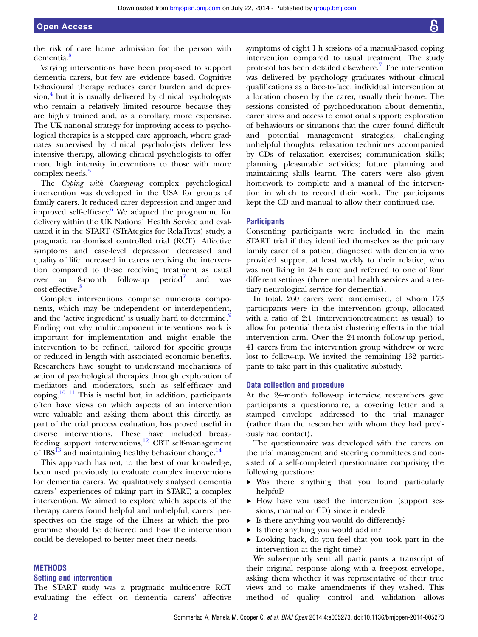Varying interventions have been proposed to support dementia carers, but few are evidence based. Cognitive behavioural therapy reduces carer burden and depres $sion<sub>1</sub><sup>4</sup>$  but it is usually delivered by clinical psychologists who remain a relatively limited resource because they are highly trained and, as a corollary, more expensive. The UK national strategy for improving access to psychological therapies is a stepped care approach, where graduates supervised by clinical psychologists deliver less intensive therapy, allowing clinical psychologists to offer more high intensity interventions to those with more complex needs.<sup>[5](#page-7-0)</sup>

The Coping with Caregiving complex psychological intervention was developed in the USA for groups of family carers. It reduced carer depression and anger and improved self-efficacy.<sup>6</sup> We adapted the programme for delivery within the UK National Health Service and evaluated it in the START (STrAtegies for RelaTives) study, a pragmatic randomised controlled trial (RCT). Affective symptoms and case-level depression decreased and quality of life increased in carers receiving the intervention compared to those receiving treatment as usual over an 8-month follow-up period<sup>[7](#page-7-0)</sup> and was cost-effective.<sup>[8](#page-7-0)</sup>

Complex interventions comprise numerous components, which may be independent or interdependent, and the 'active ingredient' is usually hard to determine.<sup>[9](#page-8-0)</sup> Finding out why multicomponent interventions work is important for implementation and might enable the intervention to be refined, tailored for specific groups or reduced in length with associated economic benefits. Researchers have sought to understand mechanisms of action of psychological therapies through exploration of mediators and moderators, such as self-efficacy and coping.[10 11](#page-8-0) This is useful but, in addition, participants often have views on which aspects of an intervention were valuable and asking them about this directly, as part of the trial process evaluation, has proved useful in diverse interventions. These have included breastfeeding support interventions, $12$  CBT self-management of  $IBS<sup>13</sup>$  $IBS<sup>13</sup>$  $IBS<sup>13</sup>$  and maintaining healthy behaviour change.<sup>14</sup>

This approach has not, to the best of our knowledge, been used previously to evaluate complex interventions for dementia carers. We qualitatively analysed dementia carers' experiences of taking part in START, a complex intervention. We aimed to explore which aspects of the therapy carers found helpful and unhelpful; carers' perspectives on the stage of the illness at which the programme should be delivered and how the intervention could be developed to better meet their needs.

# **METHODS**

# Setting and intervention

The START study was a pragmatic multicentre RCT evaluating the effect on dementia carers' affective symptoms of eight 1 h sessions of a manual-based coping intervention compared to usual treatment. The study protocol has been detailed elsewhere.<sup>7</sup> The intervention was delivered by psychology graduates without clinical qualifications as a face-to-face, individual intervention at a location chosen by the carer, usually their home. The sessions consisted of psychoeducation about dementia, carer stress and access to emotional support; exploration of behaviours or situations that the carer found difficult and potential management strategies; challenging unhelpful thoughts; relaxation techniques accompanied by CDs of relaxation exercises; communication skills; planning pleasurable activities; future planning and maintaining skills learnt. The carers were also given homework to complete and a manual of the intervention in which to record their work. The participants kept the CD and manual to allow their continued use.

# **Participants**

Consenting participants were included in the main START trial if they identified themselves as the primary family carer of a patient diagnosed with dementia who provided support at least weekly to their relative, who was not living in 24 h care and referred to one of four different settings (three mental health services and a tertiary neurological service for dementia).

In total, 260 carers were randomised, of whom 173 participants were in the intervention group, allocated with a ratio of 2:1 (intervention:treatment as usual) to allow for potential therapist clustering effects in the trial intervention arm. Over the 24-month follow-up period, 41 carers from the intervention group withdrew or were lost to follow-up. We invited the remaining 132 participants to take part in this qualitative substudy.

# Data collection and procedure

At the 24-month follow-up interview, researchers gave participants a questionnaire, a covering letter and a stamped envelope addressed to the trial manager (rather than the researcher with whom they had previously had contact).

The questionnaire was developed with the carers on the trial management and steering committees and consisted of a self-completed questionnaire comprising the following questions:

- ▸ Was there anything that you found particularly helpful?
- ▸ How have you used the intervention (support sessions, manual or CD) since it ended?
- $\triangleright$  Is there anything you would do differently?
- ▸ Is there anything you would add in?
- ▸ Looking back, do you feel that you took part in the intervention at the right time?

We subsequently sent all participants a transcript of their original response along with a freepost envelope, asking them whether it was representative of their true views and to make amendments if they wished. This method of quality control and validation allows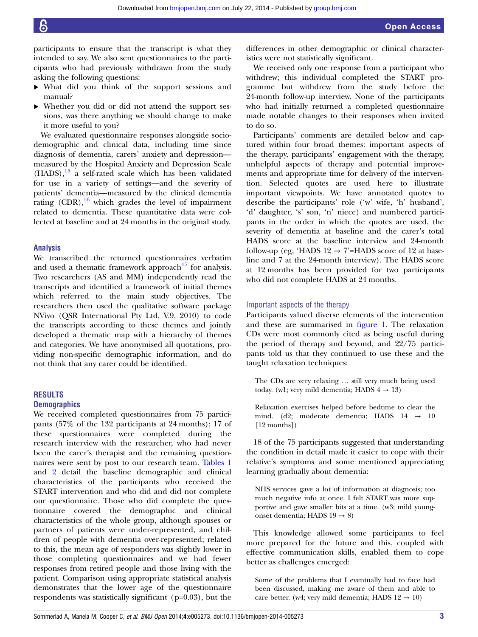participants to ensure that the transcript is what they intended to say. We also sent questionnaires to the participants who had previously withdrawn from the study asking the following questions:

- ▸ What did you think of the support sessions and manual?
- ▸ Whether you did or did not attend the support sessions, was there anything we should change to make it more useful to you?

We evaluated questionnaire responses alongside sociodemographic and clinical data, including time since diagnosis of dementia, carers' anxiety and depression measured by the Hospital Anxiety and Depression Scale  $(HADS),<sup>15</sup>$  $(HADS),<sup>15</sup>$  $(HADS),<sup>15</sup>$  a self-rated scale which has been validated for use in a variety of settings—and the severity of patients' dementia—measured by the clinical dementia rating  $(CDR)$ ,<sup>16</sup> which grades the level of impairment related to dementia. These quantitative data were collected at baseline and at 24 months in the original study.

# Analysis

We transcribed the returned questionnaires verbatim and used a thematic framework approach<sup>17</sup> for analysis. Two researchers (AS and MM) independently read the transcripts and identified a framework of initial themes which referred to the main study objectives. The researchers then used the qualitative software package NVivo (QSR International Pty Ltd, V.9, 2010) to code the transcripts according to these themes and jointly developed a thematic map with a hierarchy of themes and categories. We have anonymised all quotations, providing non-specific demographic information, and do not think that any carer could be identified.

# RESULTS

# **Demographics**

We received completed questionnaires from 75 participants (57% of the 132 participants at 24 months); 17 of these questionnaires were completed during the research interview with the researcher, who had never been the carer's therapist and the remaining questionnaires were sent by post to our research team. [Tables 1](#page-3-0) and [2](#page-4-0) detail the baseline demographic and clinical characteristics of the participants who received the START intervention and who did and did not complete our questionnaire. Those who did complete the questionnaire covered the demographic and clinical characteristics of the whole group, although spouses or partners of patients were under-represented, and children of people with dementia over-represented; related to this, the mean age of responders was slightly lower in those completing questionnaires and we had fewer responses from retired people and those living with the patient. Comparison using appropriate statistical analysis demonstrates that the lower age of the questionnaire respondents was statistically significant (p=0.03), but the

differences in other demographic or clinical characteristics were not statistically significant.

We received only one response from a participant who withdrew; this individual completed the START programme but withdrew from the study before the 24-month follow-up interview. None of the participants who had initially returned a completed questionnaire made notable changes to their responses when invited to do so.

Participants' comments are detailed below and captured within four broad themes: important aspects of the therapy, participants' engagement with the therapy, unhelpful aspects of therapy and potential improvements and appropriate time for delivery of the intervention. Selected quotes are used here to illustrate important viewpoints. We have annotated quotes to describe the participants' role ('w' wife, 'h' husband', 'd' daughter, 's' son, 'n' niece) and numbered participants in the order in which the quotes are used, the severity of dementia at baseline and the carer's total HADS score at the baseline interview and 24-month follow-up (eg, 'HADS  $12 \rightarrow 7'$ =HADS score of 12 at baseline and 7 at the 24-month interview). The HADS score at 12 months has been provided for two participants who did not complete HADS at 24 months.

# Important aspects of the therapy

Participants valued diverse elements of the intervention and these are summarised in fi[gure 1](#page-4-0). The relaxation CDs were most commonly cited as being useful during the period of therapy and beyond, and 22/75 participants told us that they continued to use these and the taught relaxation techniques:

The CDs are very relaxing … still very much being used today. (w1; very mild dementia; HADS  $4 \rightarrow 13$ )

Relaxation exercises helped before bedtime to clear the mind. (d2; moderate dementia; HADS  $14 \rightarrow 10$ [12 months])

18 of the 75 participants suggested that understanding the condition in detail made it easier to cope with their relative's symptoms and some mentioned appreciating learning gradually about dementia:

NHS services gave a lot of information at diagnosis; too much negative info at once. I felt START was more supportive and gave smaller bits at a time. (w3; mild youngonset dementia; HADS  $19 \rightarrow 8$ )

This knowledge allowed some participants to feel more prepared for the future and this, coupled with effective communication skills, enabled them to cope better as challenges emerged:

Some of the problems that I eventually had to face had been discussed, making me aware of them and able to care better. (w4; very mild dementia; HADS  $12 \rightarrow 10$ )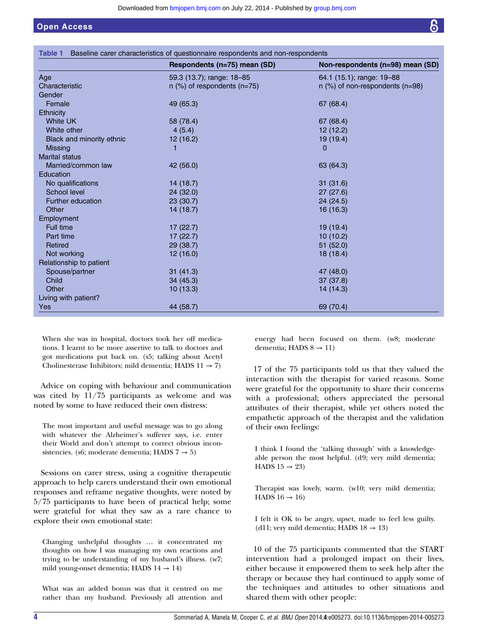# <span id="page-3-0"></span>Open Access

| Table 1                   | Baseline carer characteristics of questionnaire respondents and non-respondents |                                       |
|---------------------------|---------------------------------------------------------------------------------|---------------------------------------|
|                           | Respondents (n=75) mean (SD)                                                    | Non-respondents (n=98) mean (SD)      |
| Age                       | 59.3 (13.7); range: 18–85                                                       | 64.1 (15.1); range: 19–88             |
| Characteristic            | n $(\%)$ of respondents (n=75)                                                  | $n$ (%) of non-respondents ( $n=98$ ) |
| Gender                    |                                                                                 |                                       |
| Female                    | 49 (65.3)                                                                       | 67 (68.4)                             |
| <b>Ethnicity</b>          |                                                                                 |                                       |
| <b>White UK</b>           | 58 (78.4)                                                                       | 67 (68.4)                             |
| White other               | 4(5.4)                                                                          | 12(12.2)                              |
| Black and minority ethnic | 12(16.2)                                                                        | 19 (19.4)                             |
| <b>Missing</b>            |                                                                                 | 0                                     |
| <b>Marital status</b>     |                                                                                 |                                       |
| Married/common law        | 42 (56.0)                                                                       | 63 (64.3)                             |
| Education                 |                                                                                 |                                       |
| No qualifications         | 14 (18.7)                                                                       | 31(31.6)                              |
| School level              | 24(32.0)                                                                        | 27(27.6)                              |
| Further education         | 23(30.7)                                                                        | 24(24.5)                              |
| Other                     | 14(18.7)                                                                        | 16(16.3)                              |
| Employment                |                                                                                 |                                       |
| Full time                 | 17(22.7)                                                                        | 19 (19.4)                             |
| Part time                 | 17(22.7)                                                                        | 10(10.2)                              |
| Retired                   | 29(38.7)                                                                        | 51(52.0)                              |
| Not working               | 12(16.0)                                                                        | 18(18.4)                              |
| Relationship to patient   |                                                                                 |                                       |
| Spouse/partner            | 31(41.3)                                                                        | 47 (48.0)                             |
| Child                     | 34(45.3)                                                                        | 37 (37.8)                             |
| Other                     | 10(13.3)                                                                        | 14 (14.3)                             |
| Living with patient?      |                                                                                 |                                       |
| Yes                       | 44 (58.7)                                                                       | 69 (70.4)                             |

When she was in hospital, doctors took her off medications. I learnt to be more assertive to talk to doctors and got medications put back on. (s5; talking about Acetyl Cholinesterase Inhibitors; mild dementia; HADS  $11 \rightarrow 7$ )

Advice on coping with behaviour and communication was cited by 11/75 participants as welcome and was noted by some to have reduced their own distress:

The most important and useful message was to go along with whatever the Alzheimer's sufferer says, i.e. enter their World and don't attempt to correct obvious inconsistencies. (s6; moderate dementia; HADS  $7 \rightarrow 5$ )

Sessions on carer stress, using a cognitive therapeutic approach to help carers understand their own emotional responses and reframe negative thoughts, were noted by 5/75 participants to have been of practical help; some were grateful for what they saw as a rare chance to explore their own emotional state:

Changing unhelpful thoughts … it concentrated my thoughts on how I was managing my own reactions and trying to be understanding of my husband's illness. (w7; mild young-onset dementia; HADS  $14 \rightarrow 14$ )

What was an added bonus was that it centred on me rather than my husband. Previously all attention and energy had been focused on them. (w8; moderate dementia; HADS  $8 \rightarrow 11$ )

17 of the 75 participants told us that they valued the interaction with the therapist for varied reasons. Some were grateful for the opportunity to share their concerns with a professional; others appreciated the personal attributes of their therapist, while yet others noted the empathetic approach of the therapist and the validation of their own feelings:

I think I found the 'talking through' with a knowledgeable person the most helpful. (d9; very mild dementia; HADS  $15 \rightarrow 23$ )

Therapist was lovely, warm. (w10; very mild dementia; HADS  $16 \rightarrow 16$ )

I felt it OK to be angry, upset, made to feel less guilty. (d11; very mild dementia; HADS  $18 \rightarrow 13$ )

10 of the 75 participants commented that the START intervention had a prolonged impact on their lives, either because it empowered them to seek help after the therapy or because they had continued to apply some of the techniques and attitudes to other situations and shared them with other people: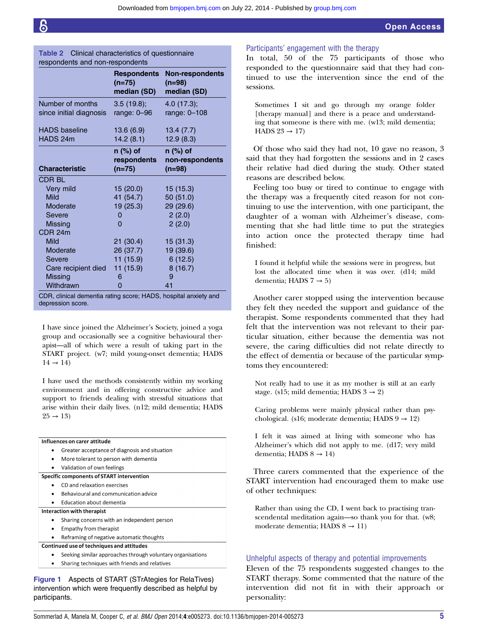| respondents and non-respondents |                                               |                                                 |  |
|---------------------------------|-----------------------------------------------|-------------------------------------------------|--|
|                                 | <b>Respondents</b><br>$(n=75)$<br>median (SD) | <b>Non-respondents</b><br>(n=98)<br>median (SD) |  |
| Number of months                | 3.5(19.8);                                    | 4.0 (17.3);                                     |  |
| since initial diagnosis         | range: 0-96                                   | range: 0-108                                    |  |
| <b>HADS</b> baseline            | 13.6(6.9)                                     | 13.4(7.7)                                       |  |
| HADS 24m                        | 14.2(8.1)                                     | 12.9(8.3)                                       |  |
|                                 | n (%) of                                      | $n$ (%) of                                      |  |
| <b>Characteristic</b>           | respondents<br>$(n=75)$                       | non-respondents<br>$(n=98)$                     |  |
| CDR BL                          |                                               |                                                 |  |
| Very mild                       | 15(20.0)                                      | 15 (15.3)                                       |  |
| Mild                            | 41 (54.7)                                     | 50 (51.0)                                       |  |
| Moderate                        | 19 (25.3)                                     | 29 (29.6)                                       |  |
| Severe                          | 0                                             | 2(2.0)                                          |  |
| <b>Missing</b>                  | 0                                             | 2(2.0)                                          |  |
| CDR 24m                         |                                               |                                                 |  |
| Mild                            | 21(30.4)                                      | 15 (31.3)                                       |  |
| Moderate                        | 26 (37.7)                                     | 19 (39.6)                                       |  |
| <b>Severe</b>                   | 11 (15.9)                                     | 6(12.5)                                         |  |
| Care recipient died             | 11 (15.9)                                     | 8(16.7)                                         |  |
| Missing                         | 6                                             | 9                                               |  |
| Withdrawn                       | 0                                             | 41                                              |  |

<span id="page-4-0"></span>Table 2 Clinical characteristics of questionnaire

CDR, clinical dementia rating score; HADS, hospital anxiety and depression score.

I have since joined the Alzheimer's Society, joined a yoga group and occasionally see a cognitive behavioural therapist—all of which were a result of taking part in the START project. (w7; mild young-onset dementia; HADS  $14 \rightarrow 14$ )

I have used the methods consistently within my working environment and in offering constructive advice and support to friends dealing with stressful situations that arise within their daily lives. (n12; mild dementia; HADS  $25 \to 13$ 

#### Influences on carer attitude

- Greater acceptance of diagnosis and situation
- More tolerant to person with dementia
- Validation of own feelings
- **Specific components of START intervention** 
	- CD and relaxation exercises
	- Behavioural and communication advice
	- Education about dementia

Interaction with therapist

- Sharing concerns with an independent person
- Empathy from therapist
- Reframing of negative automatic thoughts

Continued use of techniques and attitudes

- Seeking similar approaches through voluntary organisations
- Sharing techniques with friends and relatives

Figure 1 Aspects of START (STrAtegies for RelaTives) intervention which were frequently described as helpful by participants.

# Participants' engagement with the therapy

In total, 50 of the 75 participants of those who responded to the questionnaire said that they had continued to use the intervention since the end of the sessions.

Sometimes I sit and go through my orange folder [therapy manual] and there is a peace and understanding that someone is there with me. (w13; mild dementia; HADS  $23 \rightarrow 17$ )

Of those who said they had not, 10 gave no reason, 3 said that they had forgotten the sessions and in 2 cases their relative had died during the study. Other stated reasons are described below.

Feeling too busy or tired to continue to engage with the therapy was a frequently cited reason for not continuing to use the intervention, with one participant, the daughter of a woman with Alzheimer's disease, commenting that she had little time to put the strategies into action once the protected therapy time had finished:

I found it helpful while the sessions were in progress, but lost the allocated time when it was over. (d14; mild dementia; HADS  $7 \rightarrow 5$ )

Another carer stopped using the intervention because they felt they needed the support and guidance of the therapist. Some respondents commented that they had felt that the intervention was not relevant to their particular situation, either because the dementia was not severe, the caring difficulties did not relate directly to the effect of dementia or because of the particular symptoms they encountered:

Not really had to use it as my mother is still at an early stage. (s15; mild dementia; HADS  $3 \rightarrow 2$ )

Caring problems were mainly physical rather than psychological. (s16; moderate dementia; HADS  $9 \rightarrow 12$ )

I felt it was aimed at living with someone who has Alzheimer's which did not apply to me. (d17; very mild dementia; HADS  $8 \rightarrow 14$ )

Three carers commented that the experience of the START intervention had encouraged them to make use of other techniques:

Rather than using the CD, I went back to practising transcendental meditation again—so thank you for that. (w8; moderate dementia; HADS  $8 \rightarrow 11$ )

# Unhelpful aspects of therapy and potential improvements

Eleven of the 75 respondents suggested changes to the START therapy. Some commented that the nature of the intervention did not fit in with their approach or personality: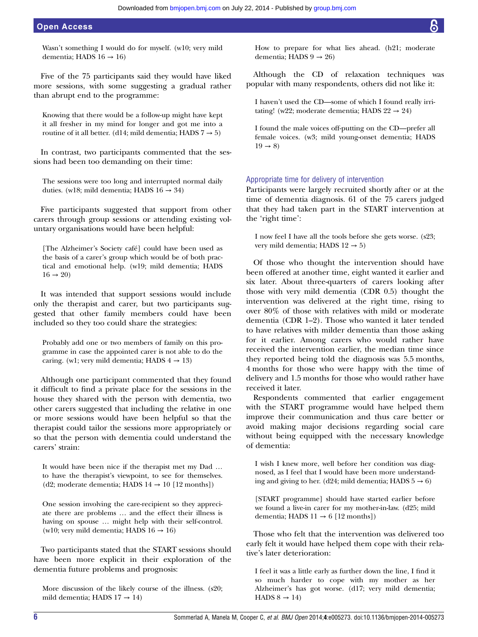Wasn't something I would do for myself. (w10; very mild dementia; HADS  $16 \rightarrow 16$ )

Five of the 75 participants said they would have liked more sessions, with some suggesting a gradual rather than abrupt end to the programme:

Knowing that there would be a follow-up might have kept it all fresher in my mind for longer and got me into a routine of it all better. (d14; mild dementia; HADS  $7 \rightarrow 5$ )

In contrast, two participants commented that the sessions had been too demanding on their time:

The sessions were too long and interrupted normal daily duties. (w18; mild dementia; HADS  $16 \rightarrow 34$ )

Five participants suggested that support from other carers through group sessions or attending existing voluntary organisations would have been helpful:

[The Alzheimer's Society café] could have been used as the basis of a carer's group which would be of both practical and emotional help. (w19; mild dementia; HADS  $16 \rightarrow 20$ 

It was intended that support sessions would include only the therapist and carer, but two participants suggested that other family members could have been included so they too could share the strategies:

Probably add one or two members of family on this programme in case the appointed carer is not able to do the caring. (w1; very mild dementia; HADS  $4 \rightarrow 13$ )

Although one participant commented that they found it difficult to find a private place for the sessions in the house they shared with the person with dementia, two other carers suggested that including the relative in one or more sessions would have been helpful so that the therapist could tailor the sessions more appropriately or so that the person with dementia could understand the carers' strain:

It would have been nice if the therapist met my Dad … to have the therapist's viewpoint, to see for themselves. (d2; moderate dementia; HADS  $14 \rightarrow 10$  [12 months])

One session involving the care-recipient so they appreciate there are problems … and the effect their illness is having on spouse … might help with their self-control. (w10; very mild dementia; HADS  $16 \rightarrow 16$ )

Two participants stated that the START sessions should have been more explicit in their exploration of the dementia future problems and prognosis:

More discussion of the likely course of the illness. (s20; mild dementia; HADS  $17 \rightarrow 14$ )

How to prepare for what lies ahead. (h21; moderate dementia; HADS  $9 \rightarrow 26$ )

Although the CD of relaxation techniques was popular with many respondents, others did not like it:

I haven't used the CD—some of which I found really irritating! (w22; moderate dementia; HADS  $22 \rightarrow 24$ )

I found the male voices off-putting on the CD—prefer all female voices. (w3; mild young-onset dementia; HADS  $19 \rightarrow 8$ 

# Appropriate time for delivery of intervention

Participants were largely recruited shortly after or at the time of dementia diagnosis. 61 of the 75 carers judged that they had taken part in the START intervention at the 'right time':

I now feel I have all the tools before she gets worse. (s23; very mild dementia; HADS  $12 \rightarrow 5$ )

Of those who thought the intervention should have been offered at another time, eight wanted it earlier and six later. About three-quarters of carers looking after those with very mild dementia (CDR 0.5) thought the intervention was delivered at the right time, rising to over 80% of those with relatives with mild or moderate dementia (CDR 1–2). Those who wanted it later tended to have relatives with milder dementia than those asking for it earlier. Among carers who would rather have received the intervention earlier, the median time since they reported being told the diagnosis was 5.5 months, 4 months for those who were happy with the time of delivery and 1.5 months for those who would rather have received it later.

Respondents commented that earlier engagement with the START programme would have helped them improve their communication and thus care better or avoid making major decisions regarding social care without being equipped with the necessary knowledge of dementia:

I wish I knew more, well before her condition was diagnosed, as I feel that I would have been more understanding and giving to her. (d24; mild dementia; HADS  $5 \rightarrow 6$ )

[START programme] should have started earlier before we found a live-in carer for my mother-in-law. (d25; mild dementia; HADS  $11 \rightarrow 6$  [12 months])

Those who felt that the intervention was delivered too early felt it would have helped them cope with their relative's later deterioration:

I feel it was a little early as further down the line, I find it so much harder to cope with my mother as her Alzheimer's has got worse. (d17; very mild dementia; HADS  $8 \rightarrow 14$ )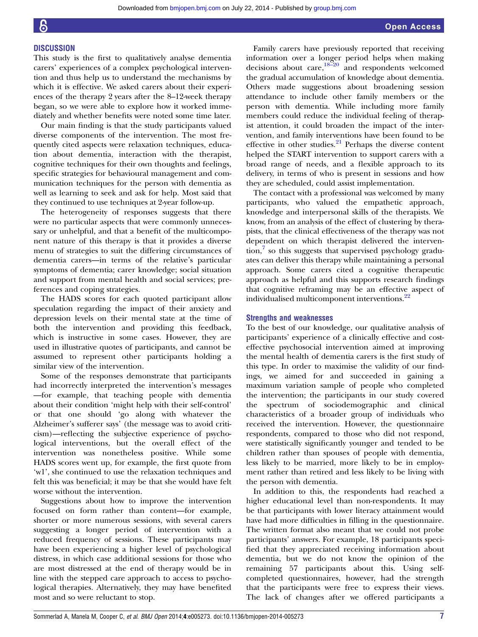# **DISCUSSION**

This study is the first to qualitatively analyse dementia carers' experiences of a complex psychological intervention and thus help us to understand the mechanisms by which it is effective. We asked carers about their experiences of the therapy 2 years after the 8–12-week therapy began, so we were able to explore how it worked immediately and whether benefits were noted some time later.

Our main finding is that the study participants valued diverse components of the intervention. The most frequently cited aspects were relaxation techniques, education about dementia, interaction with the therapist, cognitive techniques for their own thoughts and feelings, specific strategies for behavioural management and communication techniques for the person with dementia as well as learning to seek and ask for help. Most said that they continued to use techniques at 2-year follow-up.

The heterogeneity of responses suggests that there were no particular aspects that were commonly unnecessary or unhelpful, and that a benefit of the multicomponent nature of this therapy is that it provides a diverse menu of strategies to suit the differing circumstances of dementia carers—in terms of the relative's particular symptoms of dementia; carer knowledge; social situation and support from mental health and social services; preferences and coping strategies.

The HADS scores for each quoted participant allow speculation regarding the impact of their anxiety and depression levels on their mental state at the time of both the intervention and providing this feedback, which is instructive in some cases. However, they are used in illustrative quotes of participants, and cannot be assumed to represent other participants holding a similar view of the intervention.

Some of the responses demonstrate that participants had incorrectly interpreted the intervention's messages —for example, that teaching people with dementia about their condition 'might help with their self-control' or that one should 'go along with whatever the Alzheimer's sufferer says' (the message was to avoid criticism)—reflecting the subjective experience of psychological interventions, but the overall effect of the intervention was nonetheless positive. While some HADS scores went up, for example, the first quote from 'w1', she continued to use the relaxation techniques and felt this was beneficial; it may be that she would have felt worse without the intervention.

Suggestions about how to improve the intervention focused on form rather than content—for example, shorter or more numerous sessions, with several carers suggesting a longer period of intervention with a reduced frequency of sessions. These participants may have been experiencing a higher level of psychological distress, in which case additional sessions for those who are most distressed at the end of therapy would be in line with the stepped care approach to access to psychological therapies. Alternatively, they may have benefited most and so were reluctant to stop.

Family carers have previously reported that receiving information over a longer period helps when making decisions about care, $18-20$  $18-20$  and respondents welcomed the gradual accumulation of knowledge about dementia. Others made suggestions about broadening session attendance to include other family members or the person with dementia. While including more family members could reduce the individual feeling of therapist attention, it could broaden the impact of the intervention, and family interventions have been found to be effective in other studies.<sup>[21](#page-8-0)</sup> Perhaps the diverse content helped the START intervention to support carers with a broad range of needs, and a flexible approach to its delivery, in terms of who is present in sessions and how they are scheduled, could assist implementation.

The contact with a professional was welcomed by many participants, who valued the empathetic approach, knowledge and interpersonal skills of the therapists. We know, from an analysis of the effect of clustering by therapists, that the clinical effectiveness of the therapy was not dependent on which therapist delivered the interven-tion,<sup>[7](#page-7-0)</sup> so this suggests that supervised psychology graduates can deliver this therapy while maintaining a personal approach. Some carers cited a cognitive therapeutic approach as helpful and this supports research findings that cognitive reframing may be an effective aspect of individualised multicomponent interventions.<sup>[22](#page-8-0)</sup>

# Strengths and weaknesses

To the best of our knowledge, our qualitative analysis of participants' experience of a clinically effective and costeffective psychosocial intervention aimed at improving the mental health of dementia carers is the first study of this type. In order to maximise the validity of our findings, we aimed for and succeeded in gaining a maximum variation sample of people who completed the intervention; the participants in our study covered the spectrum of sociodemographic and clinical characteristics of a broader group of individuals who received the intervention. However, the questionnaire respondents, compared to those who did not respond, were statistically significantly younger and tended to be children rather than spouses of people with dementia, less likely to be married, more likely to be in employment rather than retired and less likely to be living with the person with dementia.

In addition to this, the respondents had reached a higher educational level than non-respondents. It may be that participants with lower literacy attainment would have had more difficulties in filling in the questionnaire. The written format also meant that we could not probe participants' answers. For example, 18 participants specified that they appreciated receiving information about dementia, but we do not know the opinion of the remaining 57 participants about this. Using selfcompleted questionnaires, however, had the strength that the participants were free to express their views. The lack of changes after we offered participants a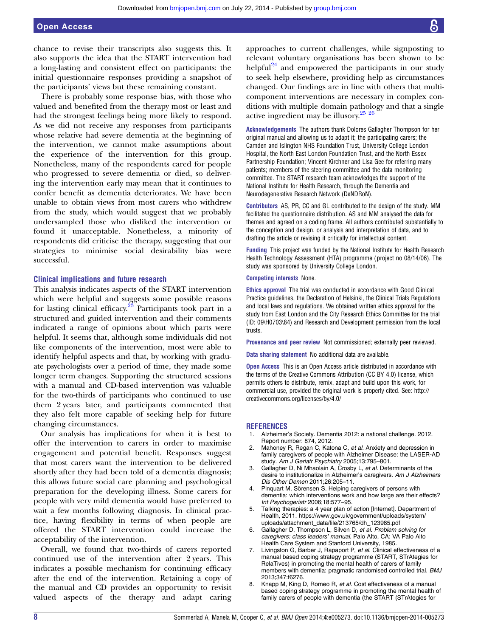<span id="page-7-0"></span>chance to revise their transcripts also suggests this. It also supports the idea that the START intervention had a long-lasting and consistent effect on participants: the initial questionnaire responses providing a snapshot of the participants' views but these remaining constant.

There is probably some response bias, with those who valued and benefited from the therapy most or least and had the strongest feelings being more likely to respond. As we did not receive any responses from participants whose relative had severe dementia at the beginning of the intervention, we cannot make assumptions about the experience of the intervention for this group. Nonetheless, many of the respondents cared for people who progressed to severe dementia or died, so delivering the intervention early may mean that it continues to confer benefit as dementia deteriorates. We have been unable to obtain views from most carers who withdrew from the study, which would suggest that we probably undersampled those who disliked the intervention or found it unacceptable. Nonetheless, a minority of respondents did criticise the therapy, suggesting that our strategies to minimise social desirability bias were successful.

## Clinical implications and future research

This analysis indicates aspects of the START intervention which were helpful and suggests some possible reasons for lasting clinical efficacy. $23$  Participants took part in a structured and guided intervention and their comments indicated a range of opinions about which parts were helpful. It seems that, although some individuals did not like components of the intervention, most were able to identify helpful aspects and that, by working with graduate psychologists over a period of time, they made some longer term changes. Supporting the structured sessions with a manual and CD-based intervention was valuable for the two-thirds of participants who continued to use them 2 years later, and participants commented that they also felt more capable of seeking help for future changing circumstances.

Our analysis has implications for when it is best to offer the intervention to carers in order to maximise engagement and potential benefit. Responses suggest that most carers want the intervention to be delivered shortly after they had been told of a dementia diagnosis; this allows future social care planning and psychological preparation for the developing illness. Some carers for people with very mild dementia would have preferred to wait a few months following diagnosis. In clinical practice, having flexibility in terms of when people are offered the START intervention could increase the acceptability of the intervention.

Overall, we found that two-thirds of carers reported continued use of the intervention after 2 years. This indicates a possible mechanism for continuing efficacy after the end of the intervention. Retaining a copy of the manual and CD provides an opportunity to revisit valued aspects of the therapy and adapt caring

approaches to current challenges, while signposting to relevant voluntary organisations has been shown to be helpful $^{24}$  $^{24}$  $^{24}$  and empowered the participants in our study to seek help elsewhere, providing help as circumstances changed. Our findings are in line with others that multicomponent interventions are necessary in complex conditions with multiple domain pathology and that a single active ingredient may be illusory. $2526$ 

Acknowledgements The authors thank Dolores Gallagher Thompson for her original manual and allowing us to adapt it; the participating carers; the Camden and Islington NHS Foundation Trust, University College London Hospital, the North East London Foundation Trust, and the North Essex Partnership Foundation; Vincent Kirchner and Lisa Gee for referring many patients; members of the steering committee and the data monitoring committee. The START research team acknowledges the support of the National Institute for Health Research, through the Dementia and Neurodegenerative Research Network (DeNDRoN).

Contributors AS, PR, CC and GL contributed to the design of the study. MM facilitated the questionnaire distribution. AS and MM analysed the data for themes and agreed on a coding frame. All authors contributed substantially to the conception and design, or analysis and interpretation of data, and to drafting the article or revising it critically for intellectual content.

Funding This project was funded by the National Institute for Health Research Health Technology Assessment (HTA) programme ( project no 08/14/06). The study was sponsored by University College London.

#### Competing interests None.

Ethics approval The trial was conducted in accordance with Good Clinical Practice guidelines, the Declaration of Helsinki, the Clinical Trials Regulations and local laws and regulations. We obtained written ethics approval for the study from East London and the City Research Ethics Committee for the trial (ID: 09\H0703\84) and Research and Development permission from the local trusts.

Provenance and peer review Not commissioned; externally peer reviewed.

Data sharing statement No additional data are available.

**Open Access** This is an Open Access article distributed in accordance with the terms of the Creative Commons Attribution (CC BY 4.0) license, which permits others to distribute, remix, adapt and build upon this work, for commercial use, provided the original work is properly cited. See: http:// creativecommons.org/licenses/by/4.0/

#### REFERENCES

- 1. Alzheimer's Society. Dementia 2012: a national challenge. 2012. Report number: 874, 2012.
- Mahoney R, Regan C, Katona C, et al. Anxiety and depression in family caregivers of people with Alzheimer Disease: the LASER-AD study. Am J Geriatr Psychiatry 2005;13:795–801.
- 3. Gallagher D, Ni Mhaolain A, Crosby L, et al. Determinants of the desire to institutionalize in Alzheimer's caregivers. Am J Alzheimers Dis Other Demen 2011;26:205–11.
- 4. Pinquart M, Sörensen S. Helping caregivers of persons with dementia: which interventions work and how large are their effects? Int Psychogeriatr 2006;18:577–95.
- 5. Talking therapies: a 4 year plan of action [Internet]. Department of Health, 2011. [https://www.gov.uk/government/uploads/system/](https://www.gov.uk/government/uploads/system/uploads/attachment_data/file/213765/dh_123985.pdf) [uploads/attachment\\_data/file/213765/dh\\_123985.pdf](https://www.gov.uk/government/uploads/system/uploads/attachment_data/file/213765/dh_123985.pdf)
- 6. Gallagher D, Thompson L, Silven D, et al. Problem solving for caregivers: class leaders' manual. Palo Alto, CA: VA Palo Alto Health Care System and Stanford University, 1985.
- Livingston G, Barber J, Rapaport P, et al. Clinical effectiveness of a manual based coping strategy programme (START, STrAtegies for RelaTives) in promoting the mental health of carers of family members with dementia: pragmatic randomised controlled trial. BMJ 2013;347:f6276.
- 8. Knapp M, King D, Romeo R, et al. Cost effectiveness of a manual based coping strategy programme in promoting the mental health of family carers of people with dementia (the START (STrAtegies for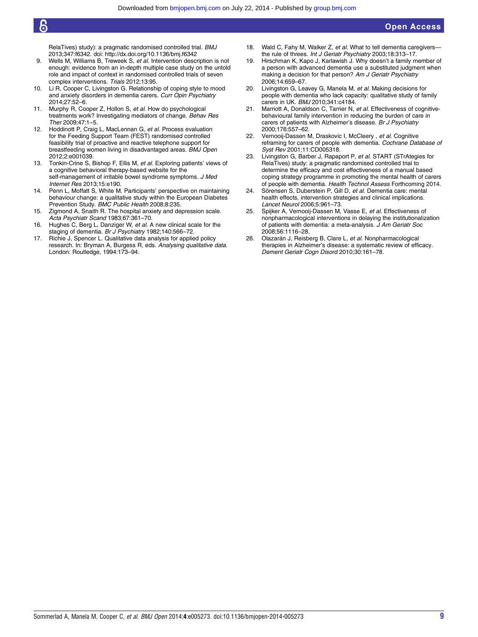<span id="page-8-0"></span>RelaTives) study): a pragmatic randomised controlled trial. BMJ 2013;347:f6342. doi:<http://dx.doi.org/10.1136/bmj.f6342>

- 9. Wells M, Williams B, Treweek S, et al. Intervention description is not enough: evidence from an in-depth multiple case study on the untold role and impact of context in randomised controlled trials of seven complex interventions. Trials 2012;13:95.
- 10. Li R, Cooper C, Livingston G. Relationship of coping style to mood and anxiety disorders in dementia carers. Curr Opin Psychiatry 2014;27:52–6.
- 11. Murphy R, Cooper Z, Hollon S, et al. How do psychological treatments work? Investigating mediators of change. Behav Res Ther 2009;47:1–5.
- 12. Hoddinott P, Craig L, MacLennan G, et al. Process evaluation for the Feeding Support Team (FEST) randomised controlled feasibility trial of proactive and reactive telephone support for breastfeeding women living in disadvantaged areas. BMJ Open 2012;2:e001039.
- 13. Tonkin-Crine S, Bishop F, Ellis M, et al. Exploring patients' views of a cognitive behavioral therapy-based website for the self-management of irritable bowel syndrome symptoms. J Med Internet Res 2013;15:e190.
- 14. Penn L, Moffatt S, White M. Participants' perspective on maintaining behaviour change: a qualitative study within the European Diabetes Prevention Study. BMC Public Health 2008;8:235.
- 15. Zigmond A, Snaith R. The hospital anxiety and depression scale. Acta Psychiatr Scand 1983;67:361–70.
- 16. Hughes C, Berg L, Danziger W, et al. A new clinical scale for the staging of dementia. Br J Psychiatry 1982;140:566-72.
- 17. Richie J, Spencer L. Qualitative data analysis for applied policy research. In: Bryman A, Burgess R, eds. Analysing qualitative data. London: Routledge, 1994:173–94.
- 18. Wald C, Fahy M, Walker Z, et al. What to tell dementia caregiversthe rule of threes. Int J Geriatr Psychiatry 2003;18:313-17.
- 19. Hirschman K, Kapo J, Karlawish J. Why doesn't a family member of a person with advanced dementia use a substituted judgment when making a decision for that person? Am J Geriatr Psychiatry 2006;14:659–67.
- 20. Livingston G, Leavey G, Manela M, et al. Making decisions for people with dementia who lack capacity: qualitative study of family carers in UK. BMJ 2010;341:c4184.
- 21. Marriott A, Donaldson C, Tarrier N, et al. Effectiveness of cognitivebehavioural family intervention in reducing the burden of care in carers of patients with Alzheimer's disease. Br J Psychiatry 2000;176:557–62.
- 22. Vernooij-Dassen M, Draskovic I, McCleery, et al. Cognitive reframing for carers of people with dementia. Cochrane Database of Syst Rev 2001;11:CD005318.
- 23. Livingston G, Barber J, Rapaport P, et al. START (STrAtegies for RelaTives) study: a pragmatic randomised controlled trial to determine the efficacy and cost effectiveness of a manual based coping strategy programme in promoting the mental health of carers of people with dementia. Health Technol Assess Forthcoming 2014.
- 24. Sörensen S, Duberstein P, Gill D, et al. Dementia care: mental health effects, intervention strategies and clinical implications. Lancet Neurol 2006;5:961–73.
- 25. Spijker A, Vernooij-Dassen M, Vasse E, et al. Effectiveness of nonpharmacological interventions in delaying the institutionalization of patients with dementia: a meta-analysis. J Am Geriatr Soc 2008;56:1116–28.
- 26. Olazarán J, Reisberg B, Clare L, et al. Nonpharmacological therapies in Alzheimer's disease: a systematic review of efficacy. Dement Geriatr Cogn Disord 2010;30:161–78.